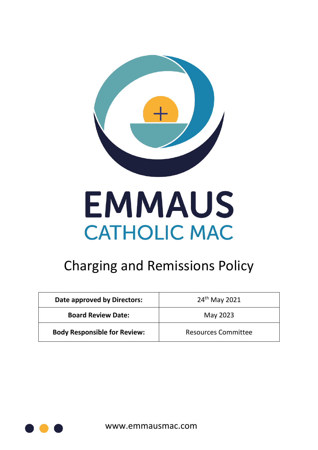

# **EMMAUS CATHOLIC MAC**

# Charging and Remissions Policy

| Date approved by Directors:         | $24th$ May 2021            |
|-------------------------------------|----------------------------|
| <b>Board Review Date:</b>           | May 2023                   |
| <b>Body Responsible for Review:</b> | <b>Resources Committee</b> |



www.emmausmac.com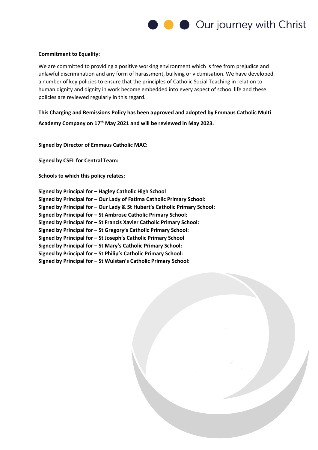

#### **Commitment to Equality:**

We are committed to providing a positive working environment which is free from prejudice and unlawful discrimination and any form of harassment, bullying or victimisation. We have developed. a number of key policies to ensure that the principles of Catholic Social Teaching in relation to human dignity and dignity in work become embedded into every aspect of school life and these. policies are reviewed regularly in this regard.

**This Charging and Remissions Policy has been approved and adopted by Emmaus Catholic Multi Academy Company on 17th May 2021 and will be reviewed in May 2023.**

**Signed by Director of Emmaus Catholic MAC:** 

**Signed by CSEL for Central Team:** 

**Schools to which this policy relates:**

**Signed by Principal for – Hagley Catholic High School Signed by Principal for – Our Lady of Fatima Catholic Primary School: Signed by Principal for – Our Lady & St Hubert's Catholic Primary School: Signed by Principal for – St Ambrose Catholic Primary School: Signed by Principal for – St Francis Xavier Catholic Primary School: Signed by Principal for – St Gregory's Catholic Primary School: Signed by Principal for – St Joseph's Catholic Primary School Signed by Principal for – St Mary's Catholic Primary School: Signed by Principal for – St Philip's Catholic Primary School: Signed by Principal for – St Wulstan's Catholic Primary School:**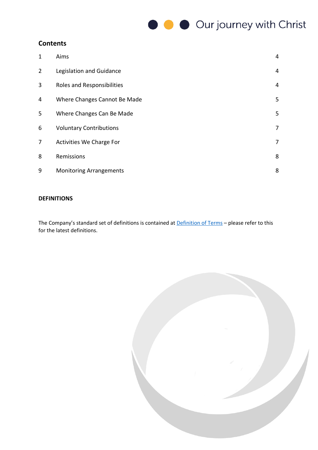#### **Contents**

| 1              | Aims                           | 4 |
|----------------|--------------------------------|---|
| $\overline{2}$ | Legislation and Guidance       | 4 |
| 3              | Roles and Responsibilities     | 4 |
| 4              | Where Changes Cannot Be Made   | 5 |
| 5              | Where Changes Can Be Made      | 5 |
| 6              | <b>Voluntary Contributions</b> | 7 |
| 7              | Activities We Charge For       | 7 |
| 8              | Remissions                     | 8 |
| 9              | <b>Monitoring Arrangements</b> | 8 |

#### **DEFINITIONS**

The Company's standard set of definitions is contained at **[Definition of Terms](https://www.every.education/Open/DownloadPolicy?guid=f092e4f7-cf2c-4e5d-91e0-915b2a7ef0de&ppk=11765)** - please refer to this for the latest definitions.

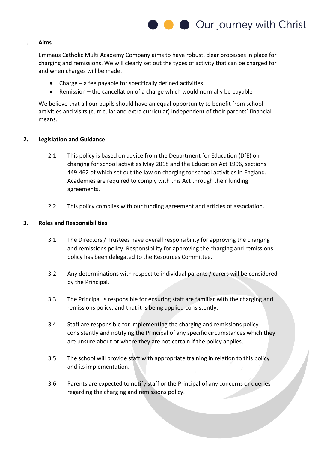

#### **1. Aims**

Emmaus Catholic Multi Academy Company aims to have robust, clear processes in place for charging and remissions. We will clearly set out the types of activity that can be charged for and when charges will be made.

- Charge a fee payable for specifically defined activities
- Remission the cancellation of a charge which would normally be payable

We believe that all our pupils should have an equal opportunity to benefit from school activities and visits (curricular and extra curricular) independent of their parents' financial means.

#### **2. Legislation and Guidance**

- 2.1 This policy is based on advice from the Department for Education (DfE) on charging for school activities May 2018 and the Education Act 1996, sections 449-462 of which set out the law on charging for school activities in England. Academies are required to comply with this Act through their funding agreements.
- 2.2 This policy complies with our funding agreement and articles of association.

#### **3. Roles and Responsibilities**

- 3.1 The Directors / Trustees have overall responsibility for approving the charging and remissions policy. Responsibility for approving the charging and remissions policy has been delegated to the Resources Committee.
- 3.2 Any determinations with respect to individual parents / carers will be considered by the Principal.
- 3.3 The Principal is responsible for ensuring staff are familiar with the charging and remissions policy, and that it is being applied consistently.
- 3.4 Staff are responsible for implementing the charging and remissions policy consistently and notifying the Principal of any specific circumstances which they are unsure about or where they are not certain if the policy applies.
- 3.5 The school will provide staff with appropriate training in relation to this policy and its implementation.
- 3.6 Parents are expected to notify staff or the Principal of any concerns or queries regarding the charging and remissions policy.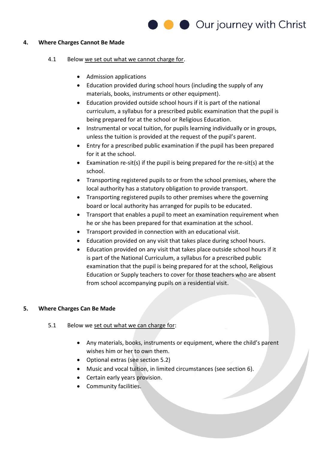#### **4. Where Charges Cannot Be Made**

- 4.1 Below we set out what we cannot charge for.
	- Admission applications
	- Education provided during school hours (including the supply of any materials, books, instruments or other equipment).
	- Education provided outside school hours if it is part of the national curriculum, a syllabus for a prescribed public examination that the pupil is being prepared for at the school or Religious Education.
	- Instrumental or vocal tuition, for pupils learning individually or in groups, unless the tuition is provided at the request of the pupil's parent.
	- Entry for a prescribed public examination if the pupil has been prepared for it at the school.
	- Examination re-sit(s) if the pupil is being prepared for the re-sit(s) at the school.
	- Transporting registered pupils to or from the school premises, where the local authority has a statutory obligation to provide transport.
	- Transporting registered pupils to other premises where the governing board or local authority has arranged for pupils to be educated.
	- Transport that enables a pupil to meet an examination requirement when he or she has been prepared for that examination at the school.
	- Transport provided in connection with an educational visit.
	- Education provided on any visit that takes place during school hours.
	- Education provided on any visit that takes place outside school hours if it is part of the National Curriculum, a syllabus for a prescribed public examination that the pupil is being prepared for at the school, Religious Education or Supply teachers to cover for those teachers who are absent from school accompanying pupils on a residential visit.

#### **5. Where Charges Can Be Made**

- 5.1 Below we set out what we can charge for:
	- Any materials, books, instruments or equipment, where the child's parent wishes him or her to own them.
	- Optional extras (see section 5.2)
	- Music and vocal tuition, in limited circumstances (see section 6).
	- Certain early years provision.
	- Community facilities.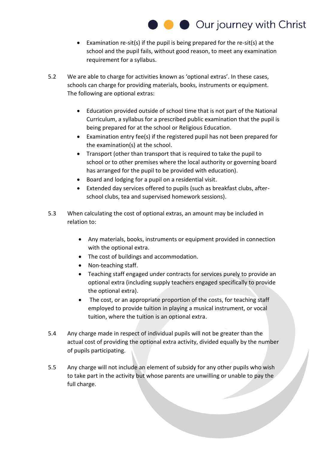- Examination re-sit(s) if the pupil is being prepared for the re-sit(s) at the school and the pupil fails, without good reason, to meet any examination requirement for a syllabus.
- 5.2 We are able to charge for activities known as 'optional extras'. In these cases, schools can charge for providing materials, books, instruments or equipment. The following are optional extras:
	- Education provided outside of school time that is not part of the National Curriculum, a syllabus for a prescribed public examination that the pupil is being prepared for at the school or Religious Education.
	- Examination entry fee(s) if the registered pupil has not been prepared for the examination(s) at the school.
	- Transport (other than transport that is required to take the pupil to school or to other premises where the local authority or governing board has arranged for the pupil to be provided with education).
	- Board and lodging for a pupil on a residential visit.
	- Extended day services offered to pupils (such as breakfast clubs, afterschool clubs, tea and supervised homework sessions).
- 5.3 When calculating the cost of optional extras, an amount may be included in relation to:
	- Any materials, books, instruments or equipment provided in connection with the optional extra.
	- The cost of buildings and accommodation.
	- Non-teaching staff.
	- Teaching staff engaged under contracts for services purely to provide an optional extra (including supply teachers engaged specifically to provide the optional extra).
	- The cost, or an appropriate proportion of the costs, for teaching staff employed to provide tuition in playing a musical instrument, or vocal tuition, where the tuition is an optional extra.
- 5.4 Any charge made in respect of individual pupils will not be greater than the actual cost of providing the optional extra activity, divided equally by the number of pupils participating.
- 5.5 Any charge will not include an element of subsidy for any other pupils who wish to take part in the activity but whose parents are unwilling or unable to pay the full charge.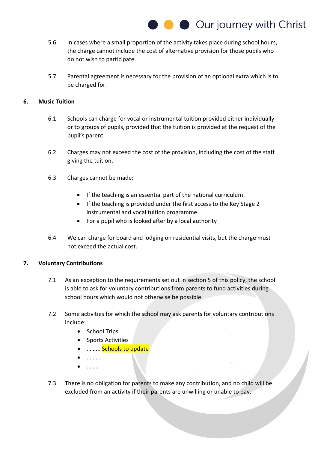

- 5.6 In cases where a small proportion of the activity takes place during school hours, the charge cannot include the cost of alternative provision for those pupils who do not wish to participate.
- 5.7 Parental agreement is necessary for the provision of an optional extra which is to be charged for.

#### **6. Music Tuition**

- 6.1 Schools can charge for vocal or instrumental tuition provided either individually or to groups of pupils, provided that the tuition is provided at the request of the pupil's parent.
- 6.2 Charges may not exceed the cost of the provision, including the cost of the staff giving the tuition.
- 6.3 Charges cannot be made:
	- If the teaching is an essential part of the national curriculum.
	- If the teaching is provided under the first access to the Key Stage 2 instrumental and vocal tuition programme
	- For a pupil who is looked after by a local authority
- 6.4 We can charge for board and lodging on residential visits, but the charge must not exceed the actual cost.

#### **7. Voluntary Contributions**

- 7.1 As an exception to the requirements set out in section 5 of this policy, the school is able to ask for voluntary contributions from parents to fund activities during school hours which would not otherwise be possible.
- 7.2 Some activities for which the school may ask parents for voluntary contributions include:
	- School Trips
	- Sports Activities
	- ……… Schools to update
	- ………
	- ……..
- 7.3 There is no obligation for parents to make any contribution, and no child will be excluded from an activity if their parents are unwilling or unable to pay.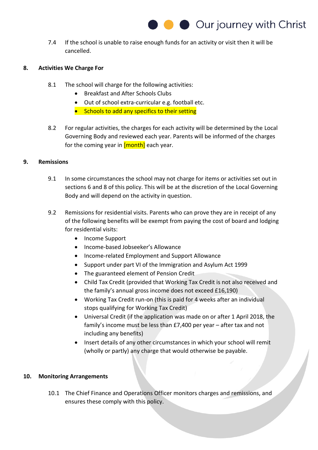7.4 If the school is unable to raise enough funds for an activity or visit then it will be cancelled.

#### **8. Activities We Charge For**

- 8.1 The school will charge for the following activities:
	- Breakfast and After Schools Clubs
	- Out of school extra-curricular e.g. football etc.
	- Schools to add any specifics to their setting
- 8.2 For regular activities, the charges for each activity will be determined by the Local Governing Body and reviewed each year. Parents will be informed of the charges for the coming year in  $[month]$  each year.

#### **9. Remissions**

- 9.1 In some circumstances the school may not charge for items or activities set out in sections 6 and 8 of this policy. This will be at the discretion of the Local Governing Body and will depend on the activity in question.
- 9.2 Remissions for residential visits. Parents who can prove they are in receipt of any of the following benefits will be exempt from paying the cost of board and lodging for residential visits:
	- Income Support
	- Income-based Jobseeker's Allowance
	- Income-related Employment and Support Allowance
	- Support under part VI of the Immigration and Asylum Act 1999
	- The guaranteed element of Pension Credit
	- Child Tax Credit (provided that Working Tax Credit is not also received and the family's annual gross income does not exceed £16,190)
	- Working Tax Credit run-on (this is paid for 4 weeks after an individual stops qualifying for Working Tax Credit)
	- Universal Credit (if the application was made on or after 1 April 2018, the family's income must be less than £7,400 per year – after tax and not including any benefits)
	- Insert details of any other circumstances in which your school will remit (wholly or partly) any charge that would otherwise be payable.

#### **10. Monitoring Arrangements**

10.1 The Chief Finance and Operations Officer monitors charges and remissions, and ensures these comply with this policy.